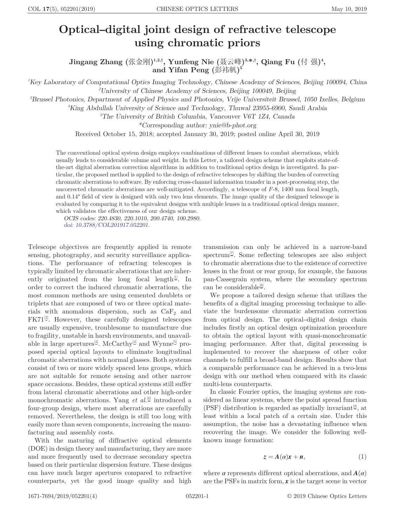## <span id="page-0-0"></span> $\frac{\text{COL 17(5), 052201(2019)}}{\text{Optical–digital joint design of refractive telescope}}$  May 10, 2019 using chromatic priors

Jingang Zhang (张金刚)<sup>1,2,†</sup>, Yunfeng Nie (聂云峰)<sup>3,</sup>\*<sup>,†</sup>, Qiang Fu (付 强)<sup>4</sup>, and Yifan Peng (彭祎帆)<sup>5</sup>

1 Key Laboratory of Computational Optics Imaging Technology, Chinese Academy of Sciences, Beijing 100094, China 2 University of Chinese Academy of Sciences, Beijing 100049, Beijing

3 Brussel Photonics, Department of Applied Physics and Photonics, Vrije Universiteit Brussel, 1050 Ixelles, Belgium

4 King Abdullah University of Science and Technology, Thuwal 23955-6900, Saudi Arabia

5 The University of British Columbia, Vancouver V6T 1Z4, Canada

\*Corresponding author: [ynie@b](mailto:ynie@b-phot.org)‑[phot.org](mailto:ynie@b-phot.org)

Received October 15, 2018; accepted January 30, 2019; posted online April 30, 2019

The conventional optical system design employs combinations of different lenses to combat aberrations, which usually leads to considerable volume and weight. In this Letter, a tailored design scheme that exploits state-ofthe-art digital aberration correction algorithms in addition to traditional optics design is investigated. In particular, the proposed method is applied to the design of refractive telescopes by shifting the burden of correcting chromatic aberrations to software. By enforcing cross-channel information transfer in a post-processing step, the uncorrected chromatic aberrations are well-mitigated. Accordingly, a telescope of F-8, 1400 mm focal length, and 0.14° field of view is designed with only two lens elements. The image quality of the designed telescope is evaluated by comparing it to the equivalent designs with multiple lenses in a traditional optical design manner, which validates the effectiveness of our design scheme.

OCIS codes: 220.4830, 220.1010, 200.4740, 100.2980. [doi: 10.3788/COL201917.052201.](http://dx.doi.org/10.3788/COL201917.052201)

Telescope objectives are frequently applied in remote sensing, photography, and security surveillance applications. The performance of refracting telescopes is typically limited by chromatic aberrations that are inherently originated from the long focal length $[1]$  $[1]$ . In order to correct the induced chromatic aberrations, the most common methods are using cemented doublets or triplets that are composed of two or three optical materials with anomalous dispersion, such as  $CaF<sub>2</sub>$  and  $FK71^{[2]}$  $FK71^{[2]}$  $FK71^{[2]}$ . However, these carefully designed telescopes are usually expensive, troublesome to manufacture due to fragility, unstable in harsh environments, and unavail-able in large apertures<sup>[\[3](#page-3-0)]</sup>. McCarthy<sup>[[4\]](#page-3-0)</sup> and Wynne<sup>[[5\]](#page-3-0)</sup> proposed special optical layouts to eliminate longitudinal chromatic aberrations with normal glasses. Both systems consist of two or more widely spaced lens groups, which are not suitable for remote sensing and other narrow space occasions. Besides, these optical systems still suffer from lateral chromatic aberrations and other high-order monochromatic aberrations. Yang *et al.*<sup>[[6\]](#page-3-0)</sup> introduced a four-group design, where most aberrations are carefully removed. Nevertheless, the design is still too long with easily more than seven components, increasing the manufacturing and assembly costs.

With the maturing of diffractive optical elements (DOE) in design theory and manufacturing, they are more and more frequently used to decrease secondary spectra based on their particular dispersion feature. These designs can have much larger apertures compared to refractive counterparts, yet the good image quality and high

transmission can only be achieved in a narrow-band spectrum<sup>[\[7](#page-3-0)]</sup>. Some reflecting telescopes are also subject to chromatic aberrations due to the existence of corrective lenses in the front or rear group, for example, the famous pan-Cassegrain system, where the secondary spectrum can be considerable<sup>[\[8](#page-3-0)]</sup>.

We propose a tailored design scheme that utilizes the benefits of a digital imaging processing technique to alleviate the burdensome chromatic aberration correction from optical design. The optical–digital design chain includes firstly an optical design optimization procedure to obtain the optical layout with quasi-monochromatic imaging performance. After that, digital processing is implemented to recover the sharpness of other color channels to fulfill a broad-band design. Results show that a comparable performance can be achieved in a two-lens design with our method when compared with its classic multi-lens counterparts.

In classic Fourier optics, the imaging systems are considered as linear systems, where the point spread function (PSF) distribution is regarded as spatially invariant<sup>[[9\]](#page-3-0)</sup>, at least within a local patch of a certain size. Under this assumption, the noise has a devastating influence when recovering the image. We consider the following wellknown image formation:

$$
z = A(\alpha)x + n,\tag{1}
$$

where  $\alpha$  represents different optical aberrations, and  $A(\alpha)$ are the PSFs in matrix form,  $x$  is the target scene in vector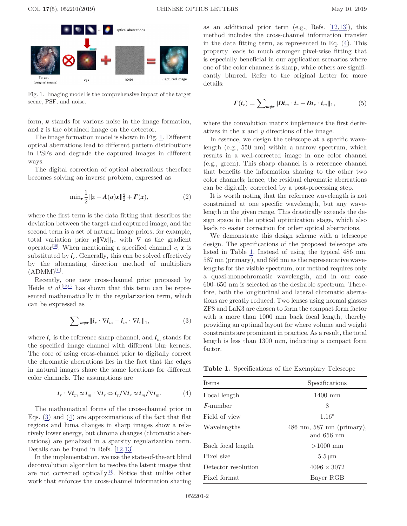<span id="page-1-0"></span>

Fig. 1. Imaging model is the comprehensive impact of the target scene, PSF, and noise.

form,  $\boldsymbol{n}$  stands for various noise in the image formation, and z is the obtained image on the detector.

The image formation model is shown in Fig. 1. Different optical aberrations lead to different pattern distributions in PSFs and degrade the captured images in different ways.

The digital correction of optical aberrations therefore becomes solving an inverse problem, expressed as

$$
\min_{x} \frac{1}{2} \|z - A(\alpha)x\|_2^2 + \Gamma(x),\tag{2}
$$

where the first term is the data fitting that describes the deviation between the target and captured image, and the second term is a set of natural image priors, for example, total variation prior  $\mu \|\nabla x\|_1$ , with  $\nabla$  as the gradient operator<sup>[\[10\]](#page-3-0)</sup>. When mentioning a specified channel c, x is substituted by  $i_c$ . Generally, this can be solved effectively by the alternating direction method of multipliers  $(ADMM)^{[11]}$  $(ADMM)^{[11]}$  $(ADMM)^{[11]}$ .

Recently, one new cross-channel prior proposed by Heide *et al.*<sup>[[12,13\]](#page-3-0)</sup> has shown that this term can be represented mathematically in the regularization term, which can be expressed as

$$
\sum_{m \neq r} ||\boldsymbol{i}_r \cdot \nabla \boldsymbol{i}_m - \boldsymbol{i}_m \cdot \nabla \boldsymbol{i}_r||_1, \tag{3}
$$

where  $\mathbf{i}_r$  is the reference sharp channel, and  $\mathbf{i}_m$  stands for the specified image channel with different blur kernels. The core of using cross-channel prior to digitally correct the chromatic aberrations lies in the fact that the edges in natural images share the same locations for different color channels. The assumptions are

$$
\boldsymbol{i}_r \cdot \nabla \boldsymbol{i}_m \approx \boldsymbol{i}_m \cdot \nabla \boldsymbol{i}_r \Leftrightarrow \boldsymbol{i}_r / \nabla \boldsymbol{i}_r \approx \boldsymbol{i}_m / \nabla \boldsymbol{i}_m. \tag{4}
$$

The mathematical forms of the cross-channel prior in Eqs. (3) and (4) are approximations of the fact that flat regions and luma changes in sharp images show a relatively lower energy, but chroma changes (chromatic aberrations) are penalized in a sparsity regularization term. Details can be found in Refs. [[12,13\]](#page-3-0).

In the implementation, we use the state-of-the-art blind deconvolution algorithm to resolve the latent images that are not corrected optically <sup>[\[14\]](#page-3-0)</sup>. Notice that unlike other work that enforces the cross-channel information sharing as an additional prior term (e.g., Refs. [\[12](#page-3-0),[13\]](#page-3-0)), this method includes the cross-channel information transfer in the data fitting term, as represented in Eq. (4). This property leads to much stronger pixel-wise fitting that is especially beneficial in our application scenarios where one of the color channels is sharp, while others are significantly blurred. Refer to the original Letter for more details:

$$
\boldsymbol{\Gamma}(\boldsymbol{i}_c) = \sum_{m \neq r} ||\boldsymbol{Di}_m \cdot \boldsymbol{i}_r - \boldsymbol{Di}_r \cdot \boldsymbol{i}_m||_1,\tag{5}
$$

where the convolution matrix implements the first derivatives in the  $x$  and  $y$  directions of the image.

In essence, we design the telescope at a specific wavelength (e.g., 550 nm) within a narrow spectrum, which results in a well-corrected image in one color channel (e.g., green). This sharp channel is a reference channel that benefits the information sharing to the other two color channels; hence, the residual chromatic aberrations can be digitally corrected by a post-processing step.

It is worth noting that the reference wavelength is not constrained at one specific wavelength, but any wavelength in the given range. This drastically extends the design space in the optical optimization stage, which also leads to easier correction for other optical aberrations.

We demonstrate this design scheme with a telescope design. The specifications of the proposed telescope are listed in Table 1. Instead of using the typical 486 nm, 587 nm (primary), and 656 nm as the representative wavelengths for the visible spectrum, our method requires only a quasi-monochromatic wavelength, and in our case 600–650 nm is selected as the desirable spectrum. Therefore, both the longitudinal and lateral chromatic aberrations are greatly reduced. Two lenses using normal glasses ZF8 and LaK3 are chosen to form the compact form factor with a more than 1000 mm back focal length, thereby providing an optimal layout for where volume and weight constraints are prominent in practice. As a result, the total length is less than 1300 mm, indicating a compact form factor.

Table 1. Specifications of the Exemplary Telescope

| <b>Items</b>        | Specifications                                            |
|---------------------|-----------------------------------------------------------|
| Focal length        | 1400 mm                                                   |
| <i>F</i> -number    | 8                                                         |
| Field of view       | $1.16^{\circ}$                                            |
| Wavelengths         | $486 \text{ nm}, 587 \text{ nm}$ (primary),<br>and 656 nm |
| Back focal length   | $>1000$ mm                                                |
| Pixel size          | $5.5 \,\mathrm{\mu m}$                                    |
| Detector resolution | $4096 \times 3072$                                        |
| Pixel format        | Bayer RGB                                                 |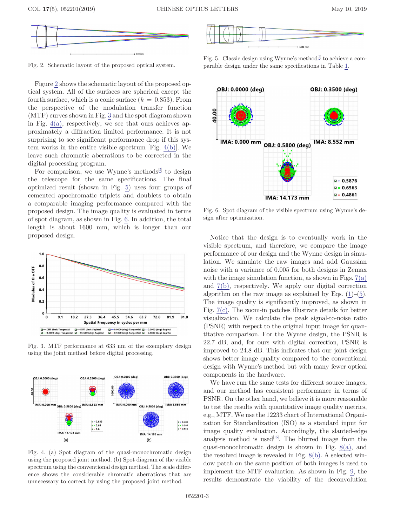

Fig. 2. Schematic layout of the proposed optical system.

Figure 2 shows the schematic layout of the proposed optical system. All of the surfaces are spherical except the fourth surface, which is a conic surface  $(k = 0.853)$ . From the perspective of the modulation transfer function  $(MTF)$  curves shown in Fig.  $3$  and the spot diagram shown in Fig.  $4(a)$ , respectively, we see that ours achieves approximately a diffraction limited performance. It is not surprising to see significant performance drop if this system works in the entire visible spectrum [Fig. 4(b)]. We leave such chromatic aberrations to be corrected in the digital processing program.

For comparison, we use Wynne's methods<sup>[[5\]](#page-3-0)</sup> to design the telescope for the same specifications. The final optimized result (shown in Fig. 5) uses four groups of cemented apochromatic triplets and doublets to obtain a comparable imaging performance compared with the proposed design. The image quality is evaluated in terms of spot diagram, as shown in Fig. 6. In addition, the total length is about 1600 mm, which is longer than our proposed design. Notice that the design is to eventually work in the



Fig. 3. MTF performance at 633 nm of the exemplary design using the joint method before digital processing.



Fig. 4. (a) Spot diagram of the quasi-monochromatic design using the proposed joint method. (b) Spot diagram of the visible spectrum using the conventional design method. The scale difference shows the considerable chromatic aberrations that are unnecessary to correct by using the proposed joint method.



Fig. 5. Classic design using Wynne's method $[5]$  $[5]$  to achieve a comparable design under the same specifications in Table [1.](#page-1-0)



Fig. 6. Spot diagram of the visible spectrum using Wynne's design after optimization.

visible spectrum, and therefore, we compare the image performance of our design and the Wynne design in simulation. We simulate the raw images and add Gaussian noise with a variance of 0.005 for both designs in Zemax with the image simulation function, as shown in Figs.  $7(a)$ and [7\(b\),](#page-3-0) respectively. We apply our digital correction algorithm on the raw image as explained by Eqs.  $(1)$  $(1)$ – $(5)$  $(5)$ . The image quality is significantly improved, as shown in Fig. [7\(c\)](#page-3-0). The zoom-in patches illustrate details for better visualization. We calculate the peak signal-to-noise ratio (PSNR) with respect to the original input image for quantitative comparison. For the Wynne design, the PSNR is 22.7 dB, and, for ours with digital correction, PSNR is improved to 24.8 dB. This indicates that our joint design shows better image quality compared to the conventional design with Wynne's method but with many fewer optical components in the hardware.

We have run the same tests for different source images, and our method has consistent performance in terms of PSNR. On the other hand, we believe it is more reasonable to test the results with quantitative image quality metrics, e.g., MTF. We use the 12233 chart of International Organization for Standardization (ISO) as a standard input for image quality evaluation. Accordingly, the slanted-edge analysis method is used<sup>[\[15\]](#page-3-0)</sup>. The blurred image from the quasi-monochromatic design is shown in Fig. [8\(a\)](#page-3-0), and the resolved image is revealed in Fig. [8\(b\)](#page-3-0). A selected window patch on the same position of both images is used to implement the MTF evaluation. As shown in Fig. [9,](#page-3-0) the results demonstrate the viability of the deconvolution